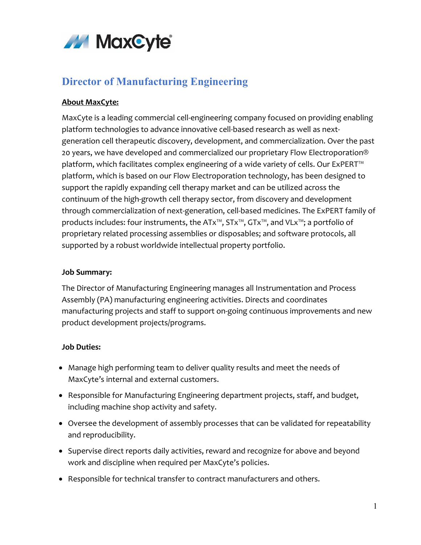

# **Director of Manufacturing Engineering**

## **About MaxCyte:**

MaxCyte is a leading commercial cell-engineering company focused on providing enabling platform technologies to advance innovative cell-based research as well as nextgeneration cell therapeutic discovery, development, and commercialization. Over the past 20 years, we have developed and commercialized our proprietary Flow Electroporation® platform, which facilitates complex engineering of a wide variety of cells. Our ExPERT<sup>™</sup> platform, which is based on our Flow Electroporation technology, has been designed to support the rapidly expanding cell therapy market and can be utilized across the continuum of the high-growth cell therapy sector, from discovery and development through commercialization of next-generation, cell-based medicines. The ExPERT family of products includes: four instruments, the ATx<sup>™</sup>, STx<sup>™</sup>, GTx<sup>™</sup>, and VLx<sup>™</sup>; a portfolio of proprietary related processing assemblies or disposables; and software protocols, all supported by a robust worldwide intellectual property portfolio.

#### **Job Summary:**

The Director of Manufacturing Engineering manages all Instrumentation and Process Assembly (PA) manufacturing engineering activities. Directs and coordinates manufacturing projects and staff to support on-going continuous improvements and new product development projects/programs.

### **Job Duties:**

- Manage high performing team to deliver quality results and meet the needs of MaxCyte's internal and external customers.
- Responsible for Manufacturing Engineering department projects, staff, and budget, including machine shop activity and safety.
- Oversee the development of assembly processes that can be validated for repeatability and reproducibility.
- Supervise direct reports daily activities, reward and recognize for above and beyond work and discipline when required per MaxCyte's policies.
- Responsible for technical transfer to contract manufacturers and others.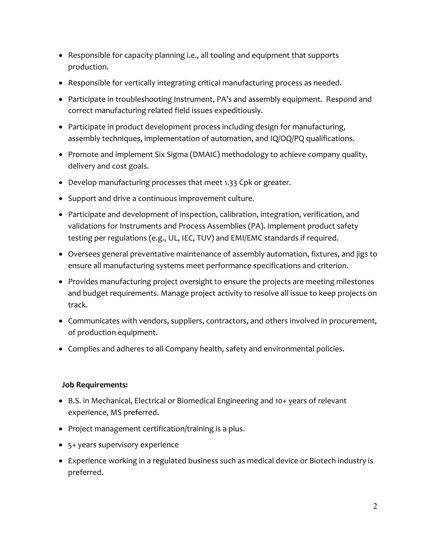- Responsible for capacity planning i.e., all tooling and equipment that supports production.
- Responsible for vertically integrating critical manufacturing process as needed.
- Participate in troubleshooting Instrument, PA's and assembly equipment. Respond and correct manufacturing related field issues expeditiously.
- Participate in product development process including design for manufacturing, assembly techniques, implementation of automation, and IQ/OQ/PQ qualifications.
- Promote and implement Six Sigma (DMAIC) methodology to achieve company quality, delivery and cost goals.
- Develop manufacturing processes that meet 1.33 Cpk or greater.
- Support and drive a continuous improvement culture.
- Participate and development of inspection, calibration, integration, verification, and validations for Instruments and Process Assemblies (PA). Implement product safety testing per regulations (e.g., UL, IEC, TUV) and EMI/EMC standards if required.
- Oversees general preventative maintenance of assembly automation, fixtures, and jigs to ensure all manufacturing systems meet performance specifications and criterion.
- Provides manufacturing project oversight to ensure the projects are meeting milestones and budget requirements. Manage project activity to resolve all issue to keep projects on track.
- Communicates with vendors, suppliers, contractors, and others involved in procurement, of production equipment.
- Complies and adheres to all Company health, safety and environmental policies.

#### **Job Requirements:**

- B.S. in Mechanical, Electrical or Biomedical Engineering and 10+ years of relevant experience, MS preferred.
- Project management certification/training is a plus.
- 5+ years supervisory experience
- Experience working in a regulated business such as medical device or Biotech industry is preferred.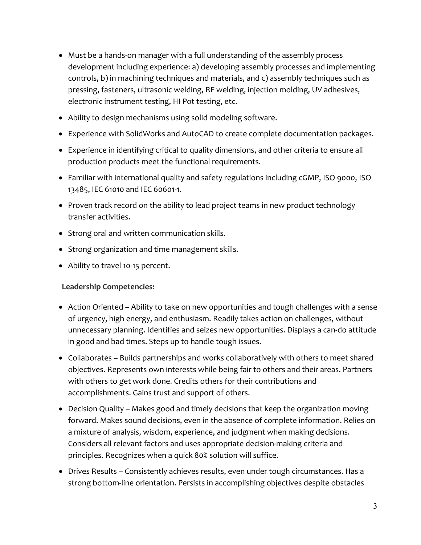- Must be a hands-on manager with a full understanding of the assembly process development including experience: a) developing assembly processes and implementing controls, b) in machining techniques and materials, and c) assembly techniques such as pressing, fasteners, ultrasonic welding, RF welding, injection molding, UV adhesives, electronic instrument testing, HI Pot testing, etc.
- Ability to design mechanisms using solid modeling software.
- Experience with SolidWorks and AutoCAD to create complete documentation packages.
- Experience in identifying critical to quality dimensions, and other criteria to ensure all production products meet the functional requirements.
- Familiar with international quality and safety regulations including cGMP, ISO 9000, ISO 13485, IEC 61010 and IEC 60601-1.
- Proven track record on the ability to lead project teams in new product technology transfer activities.
- Strong oral and written communication skills.
- Strong organization and time management skills.
- Ability to travel 10-15 percent.

### **Leadership Competencies:**

- Action Oriented Ability to take on new opportunities and tough challenges with a sense of urgency, high energy, and enthusiasm. Readily takes action on challenges, without unnecessary planning. Identifies and seizes new opportunities. Displays a can-do attitude in good and bad times. Steps up to handle tough issues.
- Collaborates Builds partnerships and works collaboratively with others to meet shared objectives. Represents own interests while being fair to others and their areas. Partners with others to get work done. Credits others for their contributions and accomplishments. Gains trust and support of others.
- Decision Quality Makes good and timely decisions that keep the organization moving forward. Makes sound decisions, even in the absence of complete information. Relies on a mixture of analysis, wisdom, experience, and judgment when making decisions. Considers all relevant factors and uses appropriate decision-making criteria and principles. Recognizes when a quick 80% solution will suffice.
- Drives Results Consistently achieves results, even under tough circumstances. Has a strong bottom-line orientation. Persists in accomplishing objectives despite obstacles